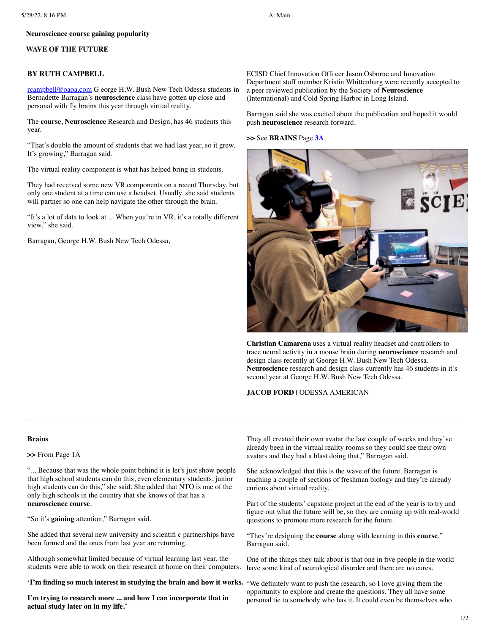### **Neuroscience course gaining popularity**

## **WAVE OF THE FUTURE**

## **BY RUTH CAMPBELL**

[rcampbell@oaoa.com](mailto:rcampbell@oaoa.com) G eorge H.W. Bush New Tech Odessa students in Bernadette Barragan's **neuroscience** class have gotten up close and personal with fly brains this year through virtual reality.

The **course**, **Neuroscience** Research and Design, has 46 students this year.

"That's double the amount of students that we had last year, so it grew. It's growing," Barragan said.

The virtual reality component is what has helped bring in students.

They had received some new VR components on a recent Thursday, but only one student at a time can use a headset. Usually, she said students will partner so one can help navigate the other through the brain.

"It's a lot of data to look at ... When you're in VR, it's a totally different view," she said.

Barragan, George H.W. Bush New Tech Odessa,

ECISD Chief Innovation Offi cer Jason Osborne and Innovation Department staff member Kristin Whittenburg were recently accepted to a peer reviewed publication by the Society of **Neuroscience** (International) and Cold Spring Harbor in Long Island.

Barragan said she was excited about the publication and hoped it would push **neuroscience** research forward.

**>>** See **BRAINS** Page **[3A](javascript:gotoPage("A","A03");)**



**Christian Camarena** uses a virtual reality headset and controllers to trace neural activity in a mouse brain during **neuroscience** research and design class recently at George H.W. Bush New Tech Odessa. **Neuroscience** research and design class currently has 46 students in it's second year at George H.W. Bush New Tech Odessa.

**JACOB FORD |** ODESSA AMERICAN

#### **Brains**

**>>** From Page 1A

"... Because that was the whole point behind it is let's just show people that high school students can do this, even elementary students, junior high students can do this," she said. She added that NTO is one of the only high schools in the country that she knows of that has a **neuroscience course**.

"So it's **gaining** attention," Barragan said.

She added that several new university and scientifi c partnerships have been formed and the ones from last year are returning.

Although somewhat limited because of virtual learning last year, the students were able to work on their research at home on their computers.

**'I'm finding so much interest in studying the brain and how it works.** "We definitely want to push the research, so I love giving them the

**I'm trying to research more ... and how I can incorporate that in actual study later on in my life.'**

They all created their own avatar the last couple of weeks and they've already been in the virtual reality rooms so they could see their own avatars and they had a blast doing that," Barragan said.

She acknowledged that this is the wave of the future. Barragan is teaching a couple of sections of freshman biology and they're already curious about virtual reality.

Part of the students' capstone project at the end of the year is to try and figure out what the future will be, so they are coming up with real-world questions to promote more research for the future.

"They're designing the **course** along with learning in this **course**," Barragan said.

One of the things they talk about is that one in five people in the world have some kind of neurological disorder and there are no cures.

opportunity to explore and create the questions. They all have some personal tie to somebody who has it. It could even be themselves who